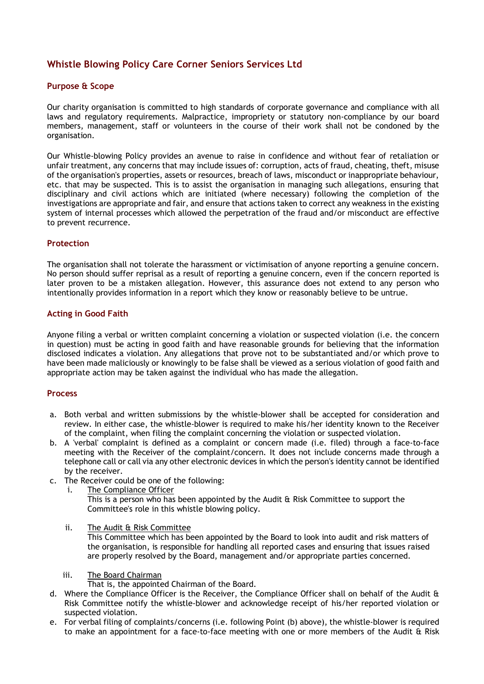# **Whistle Blowing Policy Care Corner Seniors Services Ltd**

## **Purpose & Scope**

Our charity organisation is committed to high standards of corporate governance and compliance with all laws and regulatory requirements. Malpractice, impropriety or statutory non-compliance by our board members, management, staff or volunteers in the course of their work shall not be condoned by the organisation.

Our Whistle-blowing Policy provides an avenue to raise in confidence and without fear of retaliation or unfair treatment, any concerns that may include issues of: corruption, acts of fraud, cheating, theft, misuse of the organisation's properties, assets or resources, breach of laws, misconduct or inappropriate behaviour, etc. that may be suspected. This is to assist the organisation in managing such allegations, ensuring that disciplinary and civil actions which are initiated (where necessary) following the completion of the investigations are appropriate and fair, and ensure that actions taken to correct any weakness in the existing system of internal processes which allowed the perpetration of the fraud and/or misconduct are effective to prevent recurrence.

### **Protection**

The organisation shall not tolerate the harassment or victimisation of anyone reporting a genuine concern. No person should suffer reprisal as a result of reporting a genuine concern, even if the concern reported is later proven to be a mistaken allegation. However, this assurance does not extend to any person who intentionally provides information in a report which they know or reasonably believe to be untrue.

### **Acting in Good Faith**

Anyone filing a verbal or written complaint concerning a violation or suspected violation (i.e. the concern in question) must be acting in good faith and have reasonable grounds for believing that the information disclosed indicates a violation. Any allegations that prove not to be substantiated and/or which prove to have been made maliciously or knowingly to be false shall be viewed as a serious violation of good faith and appropriate action may be taken against the individual who has made the allegation.

### **Process**

- a. Both verbal and written submissions by the whistle-blower shall be accepted for consideration and review. In either case, the whistle-blower is required to make his/her identity known to the Receiver of the complaint, when filing the complaint concerning the violation or suspected violation.
- b. A 'verbal' complaint is defined as a complaint or concern made (i.e. filed) through a face-to-face meeting with the Receiver of the complaint/concern. It does not include concerns made through a telephone call or call via any other electronic devices in which the person's identity cannot be identified by the receiver.
- c. The Receiver could be one of the following:
	- i. The Compliance Officer

This is a person who has been appointed by the Audit  $\alpha$  Risk Committee to support the Committee's role in this whistle blowing policy.

ii. The Audit & Risk Committee

This Committee which has been appointed by the Board to look into audit and risk matters of the organisation, is responsible for handling all reported cases and ensuring that issues raised are properly resolved by the Board, management and/or appropriate parties concerned.

iii. The Board Chairman

That is, the appointed Chairman of the Board.

- d. Where the Compliance Officer is the Receiver, the Compliance Officer shall on behalf of the Audit & Risk Committee notify the whistle-blower and acknowledge receipt of his/her reported violation or suspected violation.
- e. For verbal filing of complaints/concerns (i.e. following Point (b) above), the whistle-blower is required to make an appointment for a face-to-face meeting with one or more members of the Audit & Risk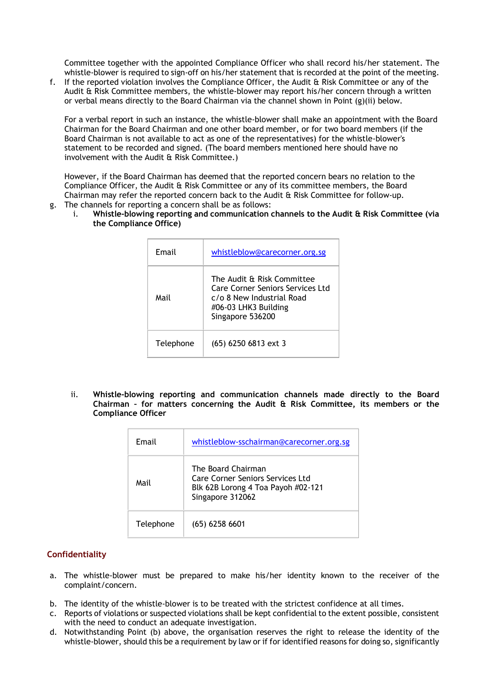Committee together with the appointed Compliance Officer who shall record his/her statement. The whistle-blower is required to sign-off on his/her statement that is recorded at the point of the meeting.

f. If the reported violation involves the Compliance Officer, the Audit & Risk Committee or any of the Audit & Risk Committee members, the whistle-blower may report his/her concern through a written or verbal means directly to the Board Chairman via the channel shown in Point (g)(ii) below.

For a verbal report in such an instance, the whistle-blower shall make an appointment with the Board Chairman for the Board Chairman and one other board member, or for two board members (if the Board Chairman is not available to act as one of the representatives) for the whistle-blower's statement to be recorded and signed. (The board members mentioned here should have no involvement with the Audit & Risk Committee.)

However, if the Board Chairman has deemed that the reported concern bears no relation to the Compliance Officer, the Audit & Risk Committee or any of its committee members, the Board Chairman may refer the reported concern back to the Audit & Risk Committee for follow-up. g. The channels for reporting a concern shall be as follows:

i. **Whistle-blowing reporting and communication channels to the Audit & Risk Committee (via the Compliance Office)**

| Email     | whistleblow@carecorner.org.sg                                                                                                           |
|-----------|-----------------------------------------------------------------------------------------------------------------------------------------|
| Mail      | The Audit & Risk Committee<br>Care Corner Seniors Services Ltd<br>c/o 8 New Industrial Road<br>#06-03 LHK3 Building<br>Singapore 536200 |
| Telephone | (65) 6250 6813 ext 3                                                                                                                    |

ii. **Whistle-blowing reporting and communication channels made directly to the Board Chairman – for matters concerning the Audit & Risk Committee, its members or the Compliance Officer**

| Email     | whistleblow-sschairman@carecorner.org.sg                                                                         |
|-----------|------------------------------------------------------------------------------------------------------------------|
| Mail      | The Board Chairman<br>Care Corner Seniors Services Ltd<br>Blk 62B Lorong 4 Toa Payoh #02-121<br>Singapore 312062 |
| Telephone | $(65)$ 6258 6601                                                                                                 |

### **Confidentiality**

- a. The whistle-blower must be prepared to make his/her identity known to the receiver of the complaint/concern.
- b. The identity of the whistle-blower is to be treated with the strictest confidence at all times.
- c. Reports of violations or suspected violations shall be kept confidential to the extent possible, consistent with the need to conduct an adequate investigation.
- d. Notwithstanding Point (b) above, the organisation reserves the right to release the identity of the whistle-blower, should this be a requirement by law or if for identified reasons for doing so, significantly